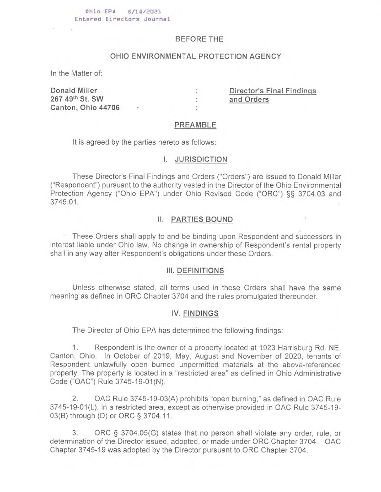#### **Ohio EPA 6/14/2021 Entered Directors Journal**

### **BEFORE THE**

# **OHIO ENVIRONMENTAL PROTECTION AGENCY**

In the Matter of:

**Donald Miller : Director's Final Findings 267 49th St. SW : and Orders Canton, Ohio 44706** •

### **PREAMBLE**

ż.

It is agreed by the parties hereto as follows:

#### **1. JURISDICTION**

These Director's Final Findings and Orders ("Orders") are issued to Donald Miller ("Respondent") pursuant to the authority vested in the Director of the Ohio Environmental Protection Agency ("Ohio EPA") under Ohio Revised Code ("ORC") §§ 3704.03 and 3745.01.

## 11. **PARTIES BOUND**

These Orders shall apply to and be binding upon Respondent and successors in interest liable under Ohio law. No change in ownership of Respondent's rental property shall in any way alter Respondent's obligations under these Orders.

#### 111. **DEFINITIONS**

Unless otherwise stated, all terms used in these Orders shall have the same meaning as defined in ORC Chapter 3704 and the rules promulgated thereunder.

## **IV. FINDINGS**

The Director of Ohio EPA has determined the following findings:

1. Respondent is the owner of a property located at 1923 Harrisburg Rd. NE, Canton, Ohio. In October of 2019, May, August and November of 2020, tenants of Respondent unlawfully open burned unpermitted materials at the above-referenced property. The property is located in a "restricted area" as defined in Ohio Administrative Code ("OAC") Rule 3745-19-01(N).

2. OAC Rule 3745-19-03(A) prohibits "open burning," as defined in OAC Rule 3745-19-01(L), in a restricted area, except as otherwise provided in OAC Rule 3745-19- 03(B) through (D) or ORC § 3704.11.

3. ORC § 3704.05(G) states that no person shall violate any order, rule, or determination of the Director issued, adopted, or made under ORC Chapter 3704. OAC Chapter 3745-19 was adopted by the Director pursuant to ORC Chapter 3704.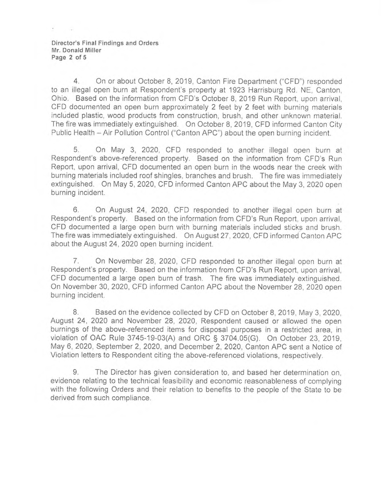**Director's Final Findings and Orders Mr. Donald Miller Page 2 of 5** 

4. On or about October 8, 2019, Canton Fire Department ("CFD") responded to an illegal open burn at Respondent's property at 1923 Harrisburg Rd. NE, Canton, Ohio, Based on the information from CFD's October 8, 2019 Run Report, upon arrival, CFD documented an open burn approximately 2 feet by 2 feet with burning materials included plastic, wood products from construction, brush, and other unknown material. The fire was immediately extinguished. On October 8, 2019, CFD informed Canton City Public Health - Air Pollution Control ("Canton APC") about the open burning incident.

5. On May 3, 2020, CFD responded to another illegal open burn at Respondent's above-referenced property. Based on the information from CFD's Run Report, upon arrival, CFD documented an open burn in the woods near the creek with burning materials included roof shingles, branches and brush. The fire was immediately extinguished. On May 5, 2020, CFD informed Canton APC about the May 3, 2020 open burning incident.

6. On August 24, 2020, CFD responded to another illegal open burn at Respondent's property. Based on the information from CFD's Run Report, upon arrival, CFD documented a large open burn with burning materials included sticks and brush. The fire was immediately extinguished. On August 27, 2020, CFD informed Canton APC about the August 24, 2020 open burning incident.

7. On November 28, 2020, CFD responded to another illegal open burn at Respondent's property. Based on the information from CFD's Run Report, upon arrival, CFD documented a large open burn of trash. The fire was immediately extinguished. On November 30, 2020, CFD informed Canton APC about the November 28, 2020 open burning incident.

8. Based on the evidence collected by CFD on October 8, 2019, May 3, 2020, August 24, 2020 and November 28, 2020, Respondent caused or allowed the open burnings of the above-referenced items for disposal purposes in a restricted area, in violation of OAC Rule 3745-19-03(A) and ORC § 3704.05(G). On October 23, 2019, May 6, 2020, September 2, 2020, and December 2, 2020, Canton APC sent a Notice of Violation letters to Respondent citing the above-referenced violations, respectively.

9. The Director has given consideration to, and based her determination on, evidence relating to the technical feasibility and economic reasonableness of complying with the following Orders and their relation to benefits to the people of the State to be derived from such compliance.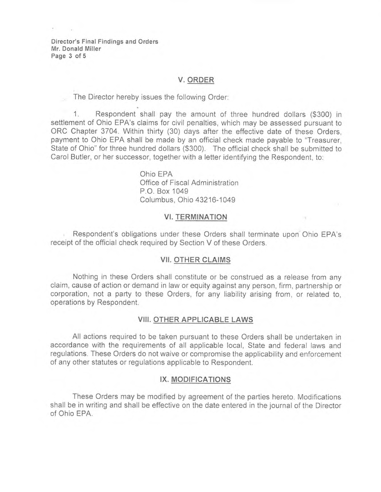**Director's Final Findings and Orders Mr. Donald Miller Page 3 of 5** 

# **V. ORDER**

The Director hereby issues the following Order:

1. Respondent shall pay the amount of three hundred dollars (\$300) in settlement of Ohio EPA's claims for civil penalties, which may be assessed pursuant to ORC Chapter 3704. Within thirty (30) days after the effective date of these Orders, payment to Ohio EPA shall be made by an official check made payable to "Treasurer, State of Ohio" for three hundred dollars (\$300). The official check shall be submitted to Carol Butler, or her successor, together with a letter identifying the Respondent, to:

> Ohio EPA Office of Fiscal Administration P.O. Box 1049 Columbus, Ohio 43216-1049

#### **VI. TERMINATION**

Respondent's obligations under these Orders shall terminate upon Ohio EPA's receipt of the official check required by Section V of these Orders.

### **VII. OTHER CLAIMS**

Nothing in these Orders shall constitute or be construed as a release from any claim, cause of action or demand in law or equity against any person, firm, partnership or corporation, not a party to these Orders, for any liability arising from, or related to, operations by Respondent.

### **VIII. OTHER APPLICABLE LAWS**

All actions required to be taken pursuant to these Orders shall be undertaken in accordance with the requirements of all applicable local, State and federal laws and regulations. These Orders do not waive or compromise the applicability and enforcement of any other statutes or regulations applicable to Respondent.

## **IX. MODIFICATIONS**

These Orders may be modified by agreement of the parties hereto. Modifications shall be in writing and shall be effective on the date entered in the journal of the Director of Ohio EPA.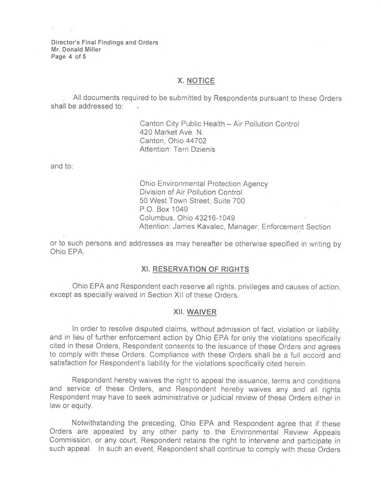Director's Final Findings and Orders Mr. Donald Miller Page 4 of 5

# X. NOTICE

All documents required to be submitted by Respondents pursuant to these Orders shall be addressed to:

> Canton City Public Health — Air Pollution Control 420 Market Ave. N. Canton, Ohio 44702 Attention: Terri Dzienis

and to:

Ohio Environmental Protection Agency Division of Air Pollution Control 50 West Town Street, Suite 700 P.O. Box 1049 Columbus, Ohio 43216-1049 Attention: James Kavalec, Manager, Enforcement Section

or to such persons and addresses as may hereafter be otherwise specified in writing by Ohio EPA.

## XI. RESERVATION OF RIGHTS

Ohio EPA and Respondent each reserve all rights, privileges and causes of action, except as specially waived in Section XII of these Orders.

#### XII. WAIVER

In order to resolve disputed claims, without admission of fact, violation or liability, and in lieu of further enforcement action by Ohio EPA for only the violations specifically cited in these Orders, Respondent consents to the issuance of these Orders and agrees to comply with these Orders. Compliance with these Orders shall be a full accord and satisfaction for Respondent's liability for the violations specifically cited herein.

Respondent hereby waives the right to appeal the issuance, terms and conditions and service of these Orders, and Respondent hereby waives any and all rights Respondent may have to seek administrative or judicial review of these Orders either in law or equity.

Notwithstanding the preceding, Ohio EPA and Respondent agree that if these Orders are appealed by any other party to the Environmental Review Appeals Commission, or any court, Respondent retains the right to intervene and participate in such appeal. In such an event, Respondent shall continue to comply with these Orders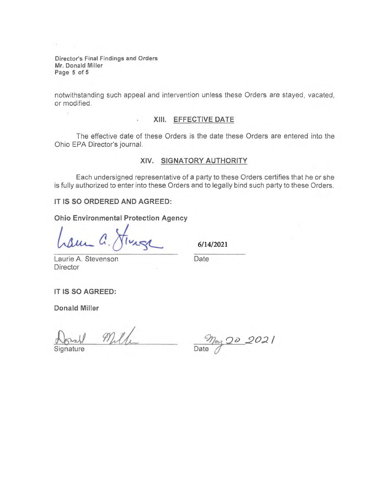Director's Final Findings and Orders Mr. Donald Miller Page 5 of 5

notwithstanding such appeal and intervention unless these Orders are stayed, vacated, or modified.

# XIII. EFFECTIVE DATE

The effective date of these Orders is the date these Orders are entered into the Ohio EPA Director's journal.

# XIV. SIGNATORY AUTHORITY

Each undersigned representative of a party to these Orders certifies that he or she is fully authorized to enter into these Orders and to legally bind such party to these Orders.

IT IS SO ORDERED AND AGREED:

Ohio Environmental Protection Agency

é.

6/14/2021

Laurie A. Stevenson Date **Director** 

IT IS SO AGREED:

Donald Miller

Signature

 $M_{\rm H}$   $M_{\rm eq}$  2021